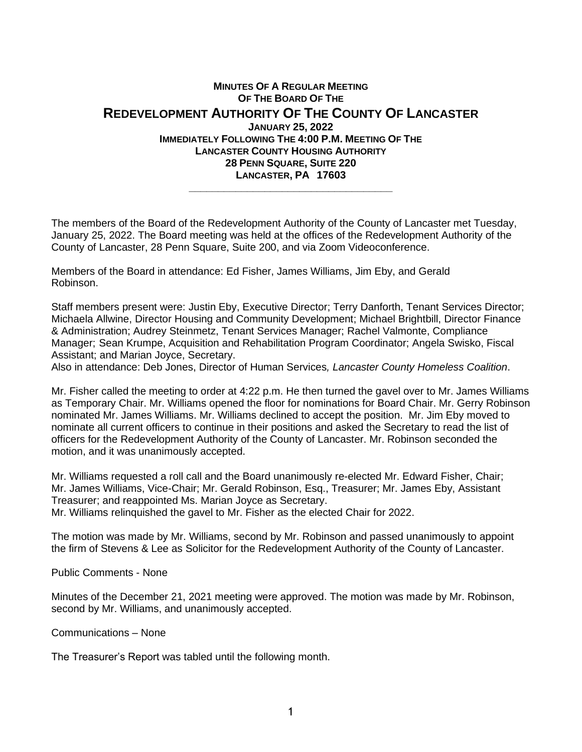## **MINUTES OF A REGULAR MEETING OF THE BOARD OF THE REDEVELOPMENT AUTHORITY OF THE COUNTY OF LANCASTER JANUARY 25, 2022 IMMEDIATELY FOLLOWING THE 4:00 P.M. MEETING OF THE LANCASTER COUNTY HOUSING AUTHORITY 28 PENN SQUARE, SUITE 220 LANCASTER, PA 17603 \_\_\_\_\_\_\_\_\_\_\_\_\_\_\_\_\_\_\_\_\_\_\_\_\_\_\_\_\_\_\_\_\_\_\_**

The members of the Board of the Redevelopment Authority of the County of Lancaster met Tuesday, January 25, 2022. The Board meeting was held at the offices of the Redevelopment Authority of the County of Lancaster, 28 Penn Square, Suite 200, and via Zoom Videoconference.

Members of the Board in attendance: Ed Fisher, James Williams, Jim Eby, and Gerald Robinson.

Staff members present were: Justin Eby, Executive Director; Terry Danforth, Tenant Services Director; Michaela Allwine, Director Housing and Community Development; Michael Brightbill, Director Finance & Administration; Audrey Steinmetz, Tenant Services Manager; Rachel Valmonte, Compliance Manager; Sean Krumpe, Acquisition and Rehabilitation Program Coordinator; Angela Swisko, Fiscal Assistant; and Marian Joyce, Secretary.

Also in attendance: Deb Jones, Director of Human Services*, Lancaster County Homeless Coalition*.

Mr. Fisher called the meeting to order at 4:22 p.m. He then turned the gavel over to Mr. James Williams as Temporary Chair. Mr. Williams opened the floor for nominations for Board Chair. Mr. Gerry Robinson nominated Mr. James Williams. Mr. Williams declined to accept the position. Mr. Jim Eby moved to nominate all current officers to continue in their positions and asked the Secretary to read the list of officers for the Redevelopment Authority of the County of Lancaster. Mr. Robinson seconded the motion, and it was unanimously accepted.

Mr. Williams requested a roll call and the Board unanimously re-elected Mr. Edward Fisher, Chair; Mr. James Williams, Vice-Chair; Mr. Gerald Robinson, Esq., Treasurer; Mr. James Eby, Assistant Treasurer; and reappointed Ms. Marian Joyce as Secretary.

Mr. Williams relinquished the gavel to Mr. Fisher as the elected Chair for 2022.

The motion was made by Mr. Williams, second by Mr. Robinson and passed unanimously to appoint the firm of Stevens & Lee as Solicitor for the Redevelopment Authority of the County of Lancaster.

Public Comments - None

Minutes of the December 21, 2021 meeting were approved. The motion was made by Mr. Robinson, second by Mr. Williams, and unanimously accepted.

Communications – None

The Treasurer's Report was tabled until the following month.